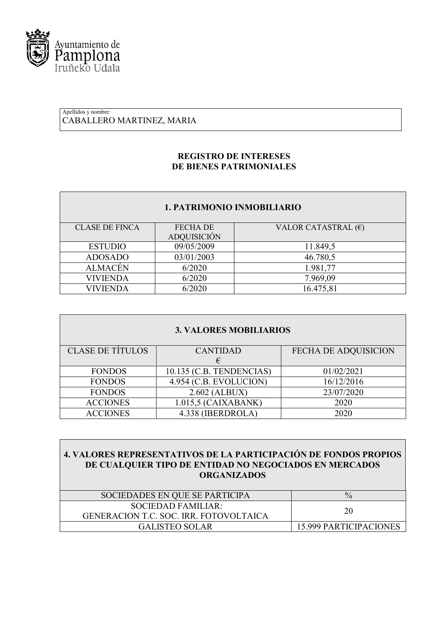

#### Apellidos y nombre: CABALLERO MARTINEZ, MARIA

# **REGISTRO DE INTERESES DE BIENES PATRIMONIALES**

### **1. PATRIMONIO INMOBILIARIO**

| <b>CLASE DE FINCA</b> | <b>FECHA DE</b>    | VALOR CATASTRAL $(\epsilon)$ |
|-----------------------|--------------------|------------------------------|
|                       | <b>ADQUISICIÓN</b> |                              |
| <b>ESTUDIO</b>        | 09/05/2009         | 11.849,5                     |
| <b>ADOSADO</b>        | 03/01/2003         | 46.780,5                     |
| <b>ALMACÉN</b>        | 6/2020             | 1.981,77                     |
| VIVIENDA              | 6/2020             | 7.969,09                     |
| VIVIENDA              | 6/2020             | 16.475,81                    |

| <b>3. VALORES MOBILIARIOS</b> |                          |                             |  |
|-------------------------------|--------------------------|-----------------------------|--|
| <b>CLASE DE TÍTULOS</b>       | <b>CANTIDAD</b>          | <b>FECHA DE ADQUISICION</b> |  |
|                               | €                        |                             |  |
| <b>FONDOS</b>                 | 10.135 (C.B. TENDENCIAS) | 01/02/2021                  |  |
| <b>FONDOS</b>                 | 4.954 (C.B. EVOLUCION)   | 16/12/2016                  |  |
| <b>FONDOS</b>                 | $2.602$ (ALBUX)          | 23/07/2020                  |  |
| <b>ACCIONES</b>               | $1.015,5$ (CAIXABANK)    | 2020                        |  |
| <b>ACCIONES</b>               | 4.338 (IBERDROLA)        | 2020                        |  |

| 4. VALORES REPRESENTATIVOS DE LA PARTICIPACIÓN DE FONDOS PROPIOS |  |
|------------------------------------------------------------------|--|
| DE CUALQUIER TIPO DE ENTIDAD NO NEGOCIADOS EN MERCADOS           |  |
| <b>ORGANIZADOS</b>                                               |  |

| SOCIEDADES EN QUE SE PARTICIPA                                             | $\frac{0}{0}$                 |
|----------------------------------------------------------------------------|-------------------------------|
| <b>SOCIEDAD FAMILIAR:</b><br><b>GENERACION T.C. SOC. IRR. FOTOVOLTAICA</b> | 20                            |
| <b>GALISTEO SOLAR</b>                                                      | <b>15.999 PARTICIPACIONES</b> |